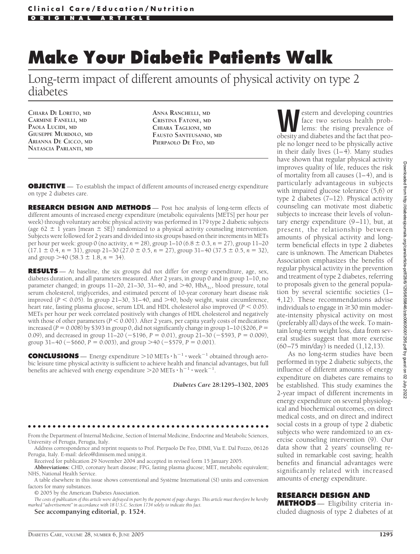# **Make Your Diabetic Patients Walk**

Long-term impact of different amounts of physical activity on type 2 diabetes

**CHIARA DI LORETO, MD CARMINE FANELLI, MD PAOLA LUCIDI, MD GIUSEPPE MURDOLO, MD ARIANNA DE CICCO, MD NATASCIA PARLANTI, MD** **ANNA RANCHELLI, MD CRISTINA FATONE, MD CHIARA TAGLIONI, MD FAUSTO SANTEUSANIO, MD PIERPAOLO DE FEO, MD**

**OBJECTIVE** — To establish the impact of different amounts of increased energy expenditure on type 2 diabetes care.

**RESEARCH DESIGN AND METHODS** — Post hoc analysis of long-term effects of different amounts of increased energy expenditure (metabolic equivalents [METS] per hour per week) through voluntary aerobic physical activity was performed in 179 type 2 diabetic subjects (age 62  $\pm$  1 years [mean  $\pm$  SE]) randomized to a physical activity counseling intervention. Subjects were followed for 2 years and divided into six groups based on their increments in METs per hour per week: group 0 (no activity, *n* - 28), group 1–10 (6.8 0.3, *n* - 27), group 11–20  $(17.1 \pm 0.4, n = 31)$ , group  $21-30$   $(27.0 \pm 0.5, n = 27)$ , group  $31-40$   $(37.5 \pm 0.5, n = 32)$ , and group  $>$  40 (58.3  $\pm$  1.8, *n* = 34).

**RESULTS** — At baseline, the six groups did not differ for energy expenditure, age, sex, diabetes duration, and all parameters measured. After 2 years, in group 0 and in group 1–10, no parameter changed; in groups  $11-20$ ,  $21-30$ ,  $31-40$ , and  $>40$ ,  $HbA<sub>1c</sub>$ , blood pressure, total serum cholesterol, triglycerides, and estimated percent of 10-year coronary heart disease risk improved ( $P < 0.05$ ). In group 21–30, 31–40, and >40, body weight, waist circumference, heart rate, fasting plasma glucose, serum LDL and HDL cholesterol also improved  $(P < 0.05)$ . METs per hour per week correlated positively with changes of HDL cholesterol and negatively with those of other parameters ( $P < 0.001$ ). After 2 years, per capita yearly costs of medications increased ( $P = 0.008$ ) by \$393 in group 0, did not significantly change in group  $1-10$  (\$206,  $P =$ 0.09), and decreased in group  $11-20$  ( $-$ \$196,  $P = 0.01$ ), group  $21-30$  ( $-$ \$593,  $P = 0.009$ ), group  $31-40$  ( $-$ \$660,  $P = 0.003$ ), and group  $>$  40 ( $-$ \$579,  $P = 0.001$ ).

**CONCLUSIONS** — Energy expenditure  $>10$  METs  $\cdot h^{-1} \cdot$  week<sup>-1</sup> obtained through aerobic leisure time physical activity is sufficient to achieve health and financial advantages, but full benefits are achieved with energy expenditure  $>$  20 METs  $\cdot$  h<sup>-1</sup>  $\cdot$  week<sup>-1</sup>.

*Diabetes Care* **28:1295–1302, 2005**

#### ●●●●●●●●●●●●●●●●●●●●●●●●●●●●●●●●●●●●●●●●●●●●●●●●●

From the Department of Internal Medicine, Section of Internal Medicine, Endocrine and Metabolic Sciences, University of Perugia, Perugia, Italy.

Address correspondence and reprint requests to Prof. Pierpaolo De Feo, DIMI, Via E. Dal Pozzo, 06126 Perugia, Italy. E-mail: defeo@dimisem.med.unipg.it.

Received for publication 29 November 2004 and accepted in revised form 15 January 2005. **Abbreviations:** CHD, coronary heart disease; FPG, fasting plasma glucose; MET, metabolic equivalent;

NHS, National Health Service.

A table elsewhere in this issue shows conventional and Système International (SI) units and conversion factors for many substances.

© 2005 by the American Diabetes Association.

*The costs of publication of this article were defrayed in part by the payment of page charges. This article must therefore be hereby marked "advertisement" in accordance with 18 U.S.C. Section 1734 solely to indicate this fact.*

**See accompanying editorial, p. 1524.**

to proposals given to the general population by several scientific societies (1– 4,12). These recommendations advise individuals to engage in  $\geq$  30 min moderate-intensity physical activity on most (preferably all) days of the week. To maintain long-term weight loss, data from several studies suggest that more exercise (60–75 min/day) is needed (1,12,13). As no long-term studies have been performed in type 2 diabetic subjects, the influence of different amounts of energy expenditure on diabetes care remains to be established. This study examines the 2-year impact of different increments in energy expenditure on several physiological and biochemical outcomes, on direct medical costs, and on direct and indirect social costs in a group of type 2 diabetic subjects who were randomized to an exercise counseling intervention (9). Our

data show that 2 years' counseling resulted in remarkable cost saving; health benefits and financial advantages were significantly related with increased amounts of energy expenditure.

**Western and developing countries**<br>face two serious health problems: the rising prevalence of<br>obesity and diabetes and the fact that peoface two serious health prob-

obesity and diabetes and the fact that people no longer need to be physically active in their daily lives (1–4). Many studies have shown that regular physical activity improves quality of life, reduces the risk of mortality from all causes  $(1-4)$ , and is particularly advantageous in subjects with impaired glucose tolerance (5,6) or type 2 diabetes (7–12). Physical activity counseling can motivate most diabetic subjects to increase their levels of voluntary energy expenditure (9–11), but, at present, the relationship between amounts of physical activity and longterm beneficial effects in type 2 diabetes care is unknown. The American Diabetes Association emphasizes the benefits of regular physical activity in the prevention and treatment of type 2 diabetes, referring

#### **RESEARCH DESIGN AND**

**METHODS** — Eligibility criteria included diagnosis of type 2 diabetes of at

DIABETES CARE, VOLUME 28, NUMBER 6, JUNE 2005 1295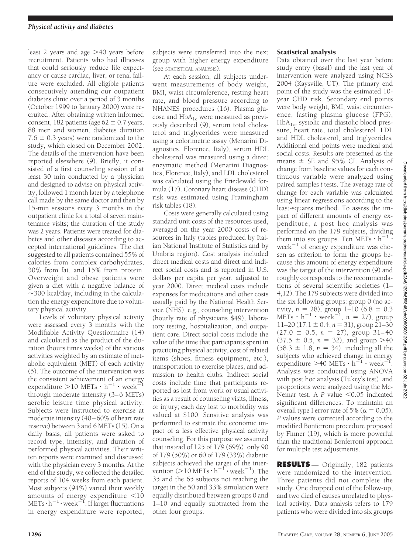least 2 years and age  $>$ 40 years before recruitment. Patients who had illnesses that could seriously reduce life expectancy or cause cardiac, liver, or renal failure were excluded. All eligible patients consecutively attending our outpatient diabetes clinic over a period of 3 months (October 1999 to January 2000) were recruited. After obtaining written informed consent, 182 patients (age  $62 \pm 0.7$  years, 88 men and women, diabetes duration 7.6  $\pm$  0.3 years) were randomized to the study, which closed on December 2002. The details of the intervention have been reported elsewhere (9). Briefly, it consisted of a first counseling session of at least 30 min conducted by a physician and designed to advise on physical activity, followed 1 month later by a telephone call made by the same doctor and then by 15-min sessions every 3 months in the outpatient clinic for a total of seven maintenance visits; the duration of the study was 2 years. Patients were treated for diabetes and other diseases according to accepted international guidelines. The diet suggested to all patients contained 55% of calories from complex carbohydrates, 30% from fat, and 15% from protein. Overweight and obese patients were given a diet with a negative balance of  $\sim$ 300 kcal/day, including in the calculation the energy expenditure due to voluntary physical activity.

Levels of voluntary physical activity were assessed every 3 months with the Modifiable Activity Questionnaire (14) and calculated as the product of the duration (hours times weeks) of the various activities weighted by an estimate of metabolic equivalent (MET) of each activity (5). The outcome of the intervention was the consistent achievement of an energy expenditure  $> 10$  METs  $\cdot h^{-1}$   $\cdot$  week<sup>=</sup> through moderate intensity (3–6 METs) aerobic leisure time physical activity. Subjects were instructed to exercise at moderate intensity (40–60% of heart rate reserve) between 3 and 6 METs (15). On a daily basis, all patients were asked to record type, intensity, and duration of performed physical activities. Their written reports were examined and discussed with the physician every 3 months. At the end of the study, we collected the detailed reports of 104 weeks from each patient. Most subjects (94%) varied their weekly amounts of energy expenditure  $<$ 10  $METs\cdot h^{-1}\cdot week^{-1}$ . If larger fluctuations in energy expenditure were reported,

subjects were transferred into the next group with higher energy expenditure (see STATISTICAL ANALYSIS).

At each session, all subjects underwent measurements of body weight, BMI, waist circumference, resting heart rate, and blood pressure according to NHANES procedures (16). Plasma glucose and  $HbA_{1c}$  were measured as previously described (9), serum total cholesterol and triglycerides were measured using a colorimetric assay (Menarini Diagnostics, Florence, Italy), serum HDL cholesterol was measured using a direct enzymatic method (Menarini Diagnostics, Florence, Italy), and LDL cholesterol was calculated using the Friedewald formula (17). Coronary heart disease (CHD) risk was estimated using Framingham risk tables (18).

Costs were generally calculated using standard unit costs of the resources used, averaged on the year 2000 costs of resources in Italy (tables produced by Italian National Institute of Statistics and by Umbria region). Cost analysis included direct medical costs and direct and indirect social costs and is reported in U.S. dollars per capita per year, adjusted to year 2000. Direct medical costs include expenses for medications and other costs usually paid by the National Health Service (NHS), e.g., counseling intervention (hourly rate of physicians \$49), laboratory testing, hospitalization, and outpatient care. Direct social costs include the value of the time that participants spent in practicing physical activity, cost of related items (shoes, fitness equipment, etc.), transportation to exercise places, and admission to health clubs. Indirect social costs include time that participants reported as lost from work or usual activities as a result of counseling visits, illness, or injury; each day lost to morbidity was valued at \$100. Sensitive analysis was performed to estimate the economic impact of a less effective physical activity counseling. For this purpose we assumed that instead of 125 of 179 (69%), only 90 of 179 (50%) or 60 of 179 (33%) diabetic subjects achieved the target of the intervention ( $>$ 10 METs  $\cdot$  h<sup>-1</sup> $\cdot$  week<sup>-1</sup>). The 35 and the 65 subjects not reaching the target in the 50 and 33% simulation were equally distributed between groups 0 and 1–10 and equally subtracted from the other four groups.

## Statistical analysis

Data obtained over the last year before study entry (basal) and the last year of intervention were analyzed using NCSS 2004 (Kaysville, UT). The primary end point of the study was the estimated 10 year CHD risk. Secondary end points were body weight, BMI, waist circumference, fasting plasma glucose (FPG),  $HbA<sub>1c</sub>$ , systolic and diastolic blood pressure, heart rate, total cholesterol, LDL and HDL cholesterol, and triglycerides. Additional end points were medical and social costs. Results are presented as the means  $\pm$  SE and 95% CI. Analysis of change from baseline values for each continuous variable were analyzed using paired samples *t* tests. The average rate of change for each variable was calculated using linear regressions according to the least-squares method. To assess the impact of different amounts of energy expenditure, a post hoc analysis was performed on the 179 subjects, dividing them into six groups. Ten METs  $\cdot h^{-1}$ . week $^{-1}$  of energy expenditure was chosen as criterion to form the groups because this amount of energy expenditure was the target of the intervention (9) and roughly corresponds to the recommendations of several scientific societies (1– 4,12). The 179 subjects were divided into the six following groups: group 0 (no activity,  $n = 28$ ), group  $1-10$  (6.8  $\pm$  0.3 METs  $\cdot$  h<sup>-1</sup>  $\cdot$  week<sup>-1</sup>, n = 27), group  $11-20$  ( $17.1 \pm 0.4$ ,  $n = 31$ ), group  $21-30$  $(27.0 \pm 0.5, n = 27)$ , group 31-40  $(37.5 \pm 0.5, n = 32)$ , and group >40  $(58.3 \pm 1.8, n = 34)$ , including all the subjects who achieved change in energy expenditure  $>$ 40 METs  $\cdot$  h<sup>-1</sup>  $\cdot$  week<sup>-1</sup>. Analysis was conducted using ANOVA with post hoc analysis (Tukey's test), and proportions were analyzed using the Mc-Nemar test. A *P* value <0.05 indicated significant differences. To maintain an overall type I error rate of 5% ( $\alpha = 0.05$ ), *P* values were corrected according to the modified Bonferroni procedure proposed by Finner (19), which is more powerful than the traditional Bonferroni approach for multiple test adjustments.

**RESULTS** — Originally, 182 patients were randomized to the intervention. Three patients did not complete the study. One dropped out of the follow-up, and two died of causes unrelated to physical activity. Data analysis refers to 179 patients who were divided into six groups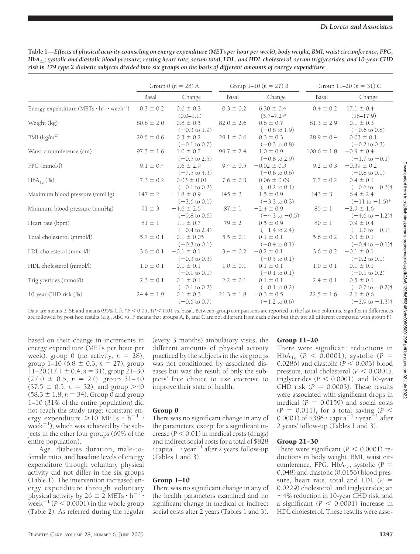|                                                          | Group $0(n = 28)$ A |                                             | Group $1-10(n = 27) B$ |                                              | Group 11–20 $(n = 31)$ C |                                               |
|----------------------------------------------------------|---------------------|---------------------------------------------|------------------------|----------------------------------------------|--------------------------|-----------------------------------------------|
|                                                          | Basal               | Change                                      | Basal                  | Change                                       | Basal                    | Change                                        |
| Energy expenditure $(METs \cdot h^{-1} \cdot week^{-1})$ | $0.3 \pm 0.2$       | $0.6 \pm 0.3$<br>$(0.0-1.1)$                | $0.3 \pm 0.2$          | $6.30 \pm 0.4$<br>$(5.7 - 7.2)^*$            | $0.4 \pm 0.2$            | $17.1 \pm 0.4$<br>$(16-17.9)$                 |
| Weight (kg)                                              | $80.8 \pm 2.0$      | $0.8 \pm 0.5$<br>$(-0.3 \text{ to } 1.9)$   | $82.0 \pm 2.6$         | $0.6 \pm 0.7$<br>$(-0.8 \text{ to } 1.9)$    | $81.3 \pm 2.9$           | $0.1 \pm 0.3$<br>$(-0.6 \text{ to } 0.8)$     |
| BMI $\left(\frac{kg}{m^2}\right)$                        | $29.5 \pm 0.6$      | $0.3 \pm 0.2$<br>$(-0.1 \text{ to } 0.7)$   | $29.1 \pm 0.6$         | $0.3 \pm 0.3$<br>$(-0.3 \text{ to } 0.8)$    | $28.9 \pm 0.4$           | $0.03 \pm 0.1$<br>$(-0.2 \text{ to } 0.3)$    |
| Waist circumference (cm)                                 | $97.3 \pm 1.6$      | $1.0 \pm 0.7$<br>$(-0.5 \text{ to } 2.5)$   | $99.7 \pm 2.4$         | $1.0 \pm 0.9$<br>$(-0.8 \text{ to } 2.9)$    | $100.6 \pm 1.8$          | $-0.9 \pm 0.4$<br>$(-1.7 \text{ to } -0.1)$   |
| FPG (mmol/l)                                             | $9.1 \pm 0.4$       | $1.6 \pm 2.9$<br>$(-7.5 \text{ to } 4.3)$   | $9.4 \pm 0.5$          | $-0.02 \pm 0.3$<br>$(-0.6 \text{ to } 0.6)$  | $9.2 \pm 0.3$            | $-0.39 \pm 0.2$<br>$(-0.8 \text{ to } 0.1)$   |
| $HbA_{1c}$ (%)                                           | $7.3 \pm 0.2$       | $0.03 \pm 0.01$<br>$(-0.1 \text{ to } 0.2)$ | $7.6 \pm 0.3$          | $-0.06 \pm 0.09$<br>$(-0.2 \text{ to } 0.1)$ | $7.7 \pm 0.2$            | $-0.4 \pm 0.1$<br>$(-0.6 \text{ to } -0.3)$ † |
| Maximum blood pressure (mmHg)                            | $147 \pm 2$         | $-1.8 \pm 0.9$<br>$(-3.6 \text{ to } 0.1)$  | $145 \pm 3$            | $-1.5 \pm 0.9$<br>$(-3.3 \text{ to } 0.3)$   | $143 \pm 3$              | $-6.4 \pm 2.4$<br>$(-11$ to $-1.5)^*$         |
| Minimum blood pressure (mmHg)                            | $91 \pm 3$          | $-4.6 \pm 2.5$<br>$(-9.8 \text{ to } 0.6)$  | $87 \pm 1$             | $-2.4 \pm 0.9$<br>$(-4.3 \text{ to } -0.5)$  | $85 \pm 1$               | $-2.9 \pm 1.6$<br>$(-4.6 \text{ to } -1.2)$ † |
| Heart rate (bpm)                                         | $81 \pm 1$          | $1.1 \pm 0.7$<br>$(-0.4 \text{ to } 2.4)$   | $79 \pm 2$             | $0.5 \pm 0.9$<br>$(-1.4 \text{ to } 2.4)$    | $80 \pm 1$               | $-0.9 \pm 0.4$<br>$(-1.7 \text{ to } -0.1)$   |
| Total cholesterol (mmol/l)                               | $5.7 \pm 0.1$       | $-0.1 \pm 0.05$<br>$(-0.3 \text{ to } 0.1)$ | $5.5 \pm 0.1$          | $-0.1 \pm 0.1$<br>$(-0.4 \text{ to } 0.1)$   | $5.6 \pm 0.2$            | $-0.3 \pm 0.1$<br>$(-0.4 \text{ to } -0.1)$ † |
| LDL cholesterol (mmol/l)                                 | $3.6 \pm 0.1$       | $-0.1 \pm 0.1$<br>$(-0.3 \text{ to } 0.3)$  | $3.4 \pm 0.2$          | $-0.2 \pm 0.1$<br>$(-0.5 \text{ to } 0.1)$   | $3.6 \pm 0.2$            | $-0.1 \pm 0.1$<br>$(-0.2 \text{ to } 0.1)$    |
| HDL cholesterol (mmol/l)                                 | $1.0 \pm 0.1$       | $0.1 \pm 0.1$<br>$(-0.1 \text{ to } 0.1)$   | $1.0 \pm 0.1$          | $0.1 \pm 0.1$<br>$(-0.1 \text{ to } 0.1)$    | $1.0 \pm 0.1$            | $0.1 \pm 0.1$<br>$(-0.1 \text{ to } 0.2)$     |
| Triglycerides (mmol/l)                                   | $2.3 \pm 0.1$       | $0.1 \pm 0.1$<br>$(-0.1 \text{ to } 0.2)$   | $2.2 \pm 0.1$          | $0.1 \pm 0.1$<br>$(-0.1 \text{ to } 0.2)$    | $2.4 \pm 0.1$            | $-0.5 \pm 0.1$<br>$(-0.7 \text{ to } -0.2)$ † |
| 10-year CHD risk (%)                                     | $24.4 \pm 1.9$      | $0.1 \pm 0.3$<br>$(-0.6 \text{ to } 0.7)$   | $21.3 \pm 1.8$         | $-0.3 \pm 0.5$<br>$(-1.2 \text{ to } 0.6)$   | $22.5 \pm 1.6$           | $-2.6 \pm 0.6$<br>$(-3.9 \text{ to } -1.3)$ † |

**Table 1—***Effects of physical activity counseling on energy expenditure (METs per hour per week); body weight; BMI; waist circumference; FPG; HbA1c; systolic and diastolic blood pressure; resting heart rate; serum total, LDL, and HDL cholesterol; serum triglycerides; and 10-year CHD risk in 179 type 2 diabetic subjects divided into six groups on the basis of different amounts of energy expenditure*

Data are means  $\pm$  SE and means (95% CI). \**P* < 0.05, †*P* < 0.01 vs. basal. Between-group comparisons are reported in the last two columns. Significant differences are followed by post hoc results (e.g., ABC vs. F means that groups A, B, and C are not different from each other but they are all different compared with group F).

based on their change in increments in energy expenditure (METs per hour per week): group 0 (no activity,  $n = 28$ ), group  $1-10$  (6.8  $\pm$  0.3,  $n = 27$ ), group  $11-20$  (17.1  $\pm$  0.4,  $n = 31$ ), group 21-30  $(27.0 \pm 0.5, n = 27)$ , group 31-40  $(37.5 \pm 0.5, n = 32)$ , and group >40  $(58.3 \pm 1.8, n = 34)$ . Group 0 and group 1–10 (31% of the entire population) did not reach the study target (constant energy expenditure  $>10$  METs  $\cdot h^{-1}$ . week<sup> $-1$ </sup>, which was achieved by the subjects in the other four groups (69% of the entire population).

Age, diabetes duration, male-tofemale ratio, and baseline levels of energy expenditure through voluntary physical activity did not differ in the six groups (Table 1). The intervention increased energy expenditure through voluntary physical activity by  $26 \pm 2$  METs  $\cdot h^{-1}$ . week<sup>-1</sup> ( $P < 0.0001$ ) in the whole group (Table 2). As referred during the regular

(every 3 months) ambulatory visits, the different amounts of physical activity practiced by the subjects in the six groups was not conditioned by associated diseases but was the result of only the subjects' free choice to use exercise to improve their state of health.

# Group 0

There was no significant change in any of the parameters, except for a significant increase  $(P < 0.01)$  in medical costs (drugs) and indirect social costs for a total of \$828  $\cdot$  capita<sup>-1</sup>  $\cdot$  year<sup>-1</sup> after 2 years' follow-up (Tables 1 and 3).

# Group 1–10

There was no significant change in any of the health parameters examined and no significant change in medical or indirect social costs after 2 years (Tables 1 and 3).

# Group 11–20

There were significant reductions in  $HbA_{1c}$  (*P* < 0.0001), systolic (*P* = 0.0286) and diastolic  $(P < 0.003)$  blood pressure, total cholesterol  $(P < 0.0001)$ , triglycerides  $(P < 0.0001)$ , and 10-year CHD risk  $(P = 0.0003)$ . These results were associated with significant drops in medical  $(P = 0.0159)$  and social costs  $(P = 0.011)$ , for a total saving  $(P <$ 0.0001) of  $$386 \cdot$  capita<sup>-1</sup>  $\cdot$  year<sup>-1</sup> after 2 years' follow-up (Tables 1 and 3).

# Group 21–30

There were significant  $(P < 0.0001)$  reductions in body weight, BMI, waist circumference, FPG,  $HbA_{1c}$ , systolic (*P* = 0.048) and diastolic (0.0156) blood pressure, heart rate, total and LDL  $(P =$ 0.0229) cholesterol, and triglycerides; an 4% reduction in 10-year CHD risk; and a significant  $(P < 0.0001)$  increase in HDL cholesterol. These results were asso-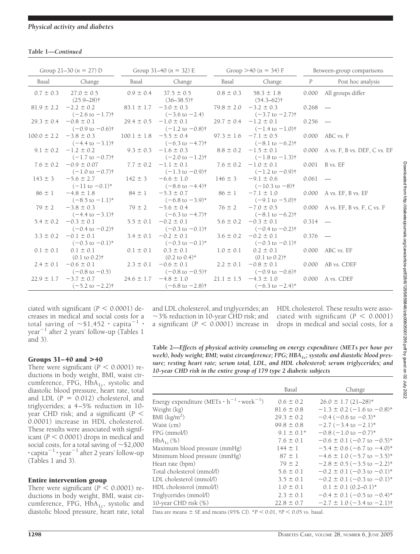## **Table 1—***Continued*

| Group $21-30$ ( $n = 27$ ) D Group $31-40$ ( $n = 32$ ) E Group $>40$ ( $n = 34$ ) F Between-group comparisons |                             |                                                                                                                                                                                                                                                                                                                                                                                                              |  |                                                                                 |           |                                                                                                                                                                                                                                                                                                                               |
|----------------------------------------------------------------------------------------------------------------|-----------------------------|--------------------------------------------------------------------------------------------------------------------------------------------------------------------------------------------------------------------------------------------------------------------------------------------------------------------------------------------------------------------------------------------------------------|--|---------------------------------------------------------------------------------|-----------|-------------------------------------------------------------------------------------------------------------------------------------------------------------------------------------------------------------------------------------------------------------------------------------------------------------------------------|
| Basal Change                                                                                                   |                             | Basal Change                                                                                                                                                                                                                                                                                                                                                                                                 |  |                                                                                 |           | Basal Change P Post hoc analysis                                                                                                                                                                                                                                                                                              |
| $0.7 \pm 0.3$ 27.0 $\pm$ 0.5<br>$(25.9 - 28)$ †                                                                |                             | $0.9 \pm 0.4$ 37.5 $\pm$ 0.5<br>$(36-38.5)$ † $(54.3-62)$ †                                                                                                                                                                                                                                                                                                                                                  |  | $0.8 \pm 0.3$ 58.3 $\pm 1.8$                                                    |           | 0.000 All groups differ                                                                                                                                                                                                                                                                                                       |
| $81.9 \pm 2.2$ -2.2 $\pm$ 0.2<br>$(-2.6 \text{ to } -1.7)$ †                                                   |                             | $83.1 \pm 1.7$ -3.0 $\pm$ 0.3<br>$(-3.6 \text{ to } -2.4)$                                                                                                                                                                                                                                                                                                                                                   |  | $79.8 \pm 2.0$ $-3.2 \pm 0.3$ 0.268 -<br>$(-3.7 \text{ to } -2.7)$ <sup>+</sup> |           |                                                                                                                                                                                                                                                                                                                               |
| $29.3 \pm 0.4$ $-0.8 \pm 0.1$                                                                                  | $29.4 \pm 0.5 -1.0 \pm 0.1$ | $(-0.9 \text{ to } -0.6)$ $(-1.2 \text{ to } -0.8)$ $(-1.4 \text{ to } -1.0)$ $(-1.4 \text{ to } -1.0)$                                                                                                                                                                                                                                                                                                      |  | $29.7 \pm 0.4$ $-1.2 \pm 0.1$ 0.256 -                                           |           |                                                                                                                                                                                                                                                                                                                               |
|                                                                                                                |                             | $100.0 \pm 2.2$ $-3.8 \pm 0.3$ $100.1 \pm 1.8$ $-5.5 \pm 0.4$ $97.3 \pm 1.6$ $-7.1 \pm 0.5$ 0.000 ABC vs. F                                                                                                                                                                                                                                                                                                  |  |                                                                                 |           |                                                                                                                                                                                                                                                                                                                               |
|                                                                                                                |                             |                                                                                                                                                                                                                                                                                                                                                                                                              |  |                                                                                 |           | 9.1 ± 0.2 -1.2 ± 0.2<br>$(-4.4 \text{ to } -3.1)$<br>9.3 ± 0.3 -1.6 ± 0.3<br>$(-2.0 \text{ to } -1.2)$<br>$(-2.0 \text{ to } -1.2)$<br>9.3 $(-2.0 \text{ to } -1.2)$<br>9.3 $(-2.0 \text{ to } -1.2)$<br>9.4 $(-1.8 \text{ to } -1.3)$<br>9.4 $(-1.8 \text{ to } -1.3)$<br>9.4 $(-1.8 \text{ to } -1.3)$<br>9.4 $(-1.8 \text$ |
|                                                                                                                |                             | $7.6 \pm 0.2$ $-0.9 \pm 0.07$ $7.7 \pm 0.2$ $-1.1 \pm 0.1$ $7.6 \pm 0.2$ $-1.0 \pm 0.1$ 0.001 B vs. EF<br>$(-1.0 \text{ to } -0.7)$ <sup>†</sup> $(-1.3 \text{ to } -0.9)$ <sup>†</sup> $(-1.2 \text{ to } -0.9)$ <sup>†</sup> $(-1.2 \text{ to } -0.9)$ <sup>†</sup> $(-1.2 \text{ to } -0.9)$ <sup>†</sup> $(-1.2 \text{ to } -0.9)$ <sup>†</sup> $(-1.2 \text{ to$                                        |  |                                                                                 |           |                                                                                                                                                                                                                                                                                                                               |
|                                                                                                                |                             | $(-11 \text{ to } -0.1)^*$ $(-8.6 \text{ to } -4.4)^*$ $(-10.3 \text{ to } -8)^*$                                                                                                                                                                                                                                                                                                                            |  |                                                                                 |           |                                                                                                                                                                                                                                                                                                                               |
|                                                                                                                |                             | $86 \pm 1$ -4.8 ± 1.8 84 ± 1 -5.3 ± 0.7 86 ± 1 -7.1 ± 1.0 0.000 A vs. EF, B vs. EF<br>$(-8.5 \text{ to } -1.1)^*$ $(-6.8 \text{ to } -3.9)^*$ $(-9.1 \text{ to } -5.0)^+$                                                                                                                                                                                                                                    |  |                                                                                 |           |                                                                                                                                                                                                                                                                                                                               |
| $79 \pm 2$ $-3.8 \pm 0.3$                                                                                      | $79 \pm 2$ $-5.6 \pm 0.4$   | $\begin{array}{cccc} (-4.4 \text{ to } -3.1) \dagger & (-6.3 \text{ to } -4.7) \dagger & (-8.1 \text{ to } -6.2) \dagger \\ 5.4 \pm 0.2 & -0.3 \pm 0.1 & 5.5 \pm 0.1 & -0.2 \pm 0.1 & 5.6 \pm 0.2 & -0.3 \pm 0.1 & 0.314 & \text{---} \end{array}$                                                                                                                                                           |  |                                                                                 |           | $76 \pm 2$ -7.0 $\pm$ 0.5 0.000 A vs. EF, B vs. F, C vs. F                                                                                                                                                                                                                                                                    |
|                                                                                                                |                             | $(-0.4 \text{ to } -0.2)$ $\uparrow$ $(-0.3 \text{ to } -0.1)$ $\uparrow$ $(-0.4 \text{ to } -0.2)$ $\uparrow$                                                                                                                                                                                                                                                                                               |  |                                                                                 |           |                                                                                                                                                                                                                                                                                                                               |
| $3.3 \pm 0.2$ $-0.1 \pm 0.1$<br>$(-0.3 \text{ to } -0.1)^*$                                                    |                             | $3.4 \pm 0.1$ $-0.2 \pm 0.1$<br>$(-0.3 \text{ to } -0.1)^*$                                                                                                                                                                                                                                                                                                                                                  |  | $3.6 \pm 0.2$ $-0.2 \pm 0.1$<br>$(-0.3 \text{ to } -0.1)$ †                     | $0.376 -$ |                                                                                                                                                                                                                                                                                                                               |
| $0.1 \pm 0.1$ $0.1 \pm 0.1$                                                                                    | $0.1 \pm 0.1$ $0.3 \pm 0.1$ |                                                                                                                                                                                                                                                                                                                                                                                                              |  | $1.0 \pm 0.1$ 0.2 $\pm$ 0.1 0.000 ABC vs. EF                                    |           |                                                                                                                                                                                                                                                                                                                               |
|                                                                                                                |                             | $(0.1 \text{ to } 0.2)$ $(0.1 \text{ to } 0.2)$ $(0.1 \text{ to } 0.2)$ $(0.1 \text{ to } 0.2)$ $(0.1 \text{ to } 0.2)$ $(0.1 \text{ to } 0.2)$ $(0.1 \text{ to } 0.2)$ $(0.1 \text{ to } 0.2)$ $(0.1 \text{ to } 0.2)$ $(0.1 \text{ to } 0.2)$ $(0.1 \text{ to } 0.2)$ $(0.1 \text{ to } 0.2)$ $(0.1 \text{ to } 0.2)$<br>$(-0.8 \text{ to } -0.5)$ $(-0.8 \text{ to } -0.5)$ $(-0.9 \text{ to } -0.6)$ $($ |  |                                                                                 |           |                                                                                                                                                                                                                                                                                                                               |
| $(-5.2 \text{ to } -2.2)$ †                                                                                    |                             | $22.9 \pm 1.7$ $-3.7 \pm 0.7$ $24.6 \pm 1.7$ $-4.8 \pm 1.0$ $21.1 \pm 1.5$ $-4.3 \pm 1.0$ 0.000 A vs. CDEF<br>$(-6.8 \text{ to } -2.8)$ <sup>†</sup> $(-6.3 \text{ to } -2.4)$ <sup>*</sup>                                                                                                                                                                                                                  |  |                                                                                 |           |                                                                                                                                                                                                                                                                                                                               |

ciated with significant  $(P < 0.0001)$  decreases in medical and social costs for a total saving of  $\sim$ \$1,452  $\cdot$  capita $^{-1}$   $\cdot$  $year^{-1}$  after 2 years' follow-up (Tables 1 and 3).

# Groups 31– 40 and **>**40

There were significant  $(P < 0.0001)$  reductions in body weight, BMI, waist circumference, FPG, HbA<sub>1c</sub>, systolic and diastolic blood pressure, heart rate, total and LDL  $(P = 0.012)$  cholesterol, and triglycerides; a 4–5% reduction in 10 year CHD risk; and a significant (*P* 0.0001) increase in HDL cholesterol. These results were associated with significant  $(P < 0.0001)$  drops in medical and social costs, for a total saving of  $\sim$  \$2,000  $\cdot$  capita<sup>-1</sup>  $\cdot$  year<sup>-1</sup> after 2 years' follow-up (Tables 1 and 3).

# Entire intervention group

There were significant  $(P < 0.0001)$  reductions in body weight, BMI, waist circumference, FPG,  $H\overline{b}A_{1c}$ , systolic and diastolic blood pressure, heart rate, total

and LDL cholesterol, and triglycerides; an 3% reduction in 10-year CHD risk; and a significant  $(P < 0.0001)$  increase in HDL cholesterol. These results were associated with significant  $(P < 0.0001)$ drops in medical and social costs, for a

**Table 2—***Effects of physical activity counseling on energy expenditure (METs per hour per* week), body weight; BMI; waist circumference; FPG; HBA<sub>1c</sub>; systolic and diastolic blood pres*sure; resting heart rate; serum total, LDL, and HDL cholesterol; serum triglycerides; and 10-year CHD risk in the entire group of 179 type 2 diabetic subjects*

| Basal           | Change                                     |
|-----------------|--------------------------------------------|
| $0.6 \pm 0.2$   | $26.0 \pm 1.7$ (21-28)*                    |
| $81.6 \pm 0.8$  | $-1.3 \pm 0.2$ (-1.6 to -0.8)*             |
| $29.3 \pm 0.2$  | $-0.4$ (-0.6 to $-0.3$ )*                  |
| $99.8 \pm 0.8$  | $-2.7$ ( $-3.4$ to $-2.1$ )*               |
| $9.1 \pm 0.1^*$ | $-0.8$ ( $-1.0$ to $-0.7$ )*               |
| $7.6 \pm 0.1$   | $-0.6 \pm 0.1 (-0.7$ to $-0.5)^*$          |
| $144 \pm 1$     | $-5.4 \pm 0.6$ (-6.7 to -4.0)*             |
| $87 \pm 1$      | $-4.6 \pm 1.0$ (-5.7 to -3.5)*             |
| $79 \pm 2$      | $-2.8 \pm 0.5$ ( $-3.5$ to $-2.2$ )*       |
| $5.6 \pm 0.1$   | $-0.2 \pm 0.1 (-0.3 \text{ to } -0.1)^*$   |
| $3.5 \pm 0.1$   | $-0.2 \pm 0.1 (-0.3 \text{ to } -0.1)^*$   |
| $1.0 \pm 0.1$   | $0.1 \pm 0.1$ $(0.2 - 0.1)^*$              |
| $2.3 \pm 0.1$   | $-0.4 \pm 0.1 (-0.5$ to $-0.4)^*$          |
| $22.8 \pm 0.7$  | $-2.7 \pm 1.0$ (-3.4 to -2.1) <sup>†</sup> |
|                 |                                            |

Data are means  $\pm$  SE and means (95% CI).  $*P < 0.01$ ,  $\uparrow P < 0.05$  vs. basal.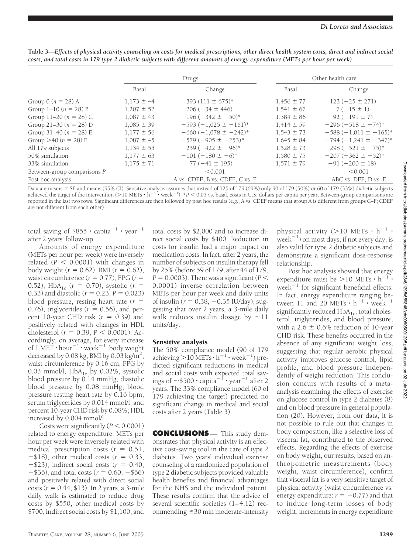|                             | Drugs          |                                 | Other health care |                           |  |
|-----------------------------|----------------|---------------------------------|-------------------|---------------------------|--|
|                             | Basal          | Change                          | Basal             | Change                    |  |
| Group 0 ( $n = 28$ ) A      | $1,173 \pm 44$ | $393(111 \pm 675)^*$            | $1,456 \pm 77$    | $123 (-25 \pm 271)$       |  |
| Group $1-10(n = 28) B$      | $1,207 \pm 52$ | $206 (-34 \pm 446)$             | $1.541 \pm 67$    | $-7(-15 \pm 1)$           |  |
| Group 11–20 $(n = 28)$ C    | $1,087 \pm 43$ | $-196(-342 \pm -50)^*$          | $1,384 \pm 86$    | $-92(-191 \pm 7)$         |  |
| Group 21-30 $(n = 28)$ D    | $1,085 \pm 39$ | $-593(-1,025 \pm -161)^*$       | $1,414 \pm 59$    | $-296(-518 \pm -74)^*$    |  |
| Group 31-40 ( $n = 28$ ) E  | $1,177 \pm 56$ | $-660(-1.078 \pm -242)^*$       | $1.543 \pm 73$    | $-588(-1,011 \pm -165)^*$ |  |
| Group > 40 ( $n = 28$ ) F   | $1,087 \pm 45$ | $-579(-905 \pm -253)^*$         | $1,645 \pm 84$    | $-794(-1,241 \pm -347)^*$ |  |
| All 179 subjects            | $1,134 \pm 55$ | $-259(-422 \pm -96)^*$          | $1,528 \pm 73$    | $-298(-521 \pm -75)^*$    |  |
| 50% simulation              | $1,177 \pm 63$ | $-101(-180 \pm -6)^*$           | $1,580 \pm 75$    | $-207(-362 \pm -52)^*$    |  |
| 33% simulation              | $1,175 \pm 71$ | $77(-41 \pm 195)$               | $1.571 \pm 79$    | $-91(-200 \pm 18)$        |  |
| Between-group comparisons P |                | < 0.001                         |                   | < 0.001                   |  |
| Post hoc analysis           |                | A vs. CDEF, B vs. CDEF, C vs. E |                   | ABC vs. DEF, D vs. F      |  |

| Table 3—Effects of physical activity counseling on costs for medical prescriptions, other direct health system costs, direct and indirect social |
|--------------------------------------------------------------------------------------------------------------------------------------------------|
| costs, and total costs in 179 type 2 diabetic subjects with different amounts of energy expenditure (METs per hour per week)                     |

Data are means  $\pm$  SE and means (95% CI). Sensitive analysis assumes that instead of 125 of 179 (69%) only 90 of 179 (50%) or 60 of 179 (33%) diabetic subjects achieved the target of the intervention (>10 METs  $\cdot$  h<sup>-1</sup>  $\cdot$  week<sup>-1</sup>). \**P* < 0.05 vs. basal, costs in U.S. dollars per capita per year. Between-group comparisons are reported in the last two rows. Significant differences are then followed by post hoc results (e.g., A vs. CDEF means that group A is different from groups C–F; CDEF are not different from each other).

total saving of  $$855 \cdot$  capita<sup>-1</sup>  $\cdot$  year<sup>-1</sup> after 2 years' follow-up.

Amounts of energy expenditure (METs per hour per week) were inversely related  $(P < 0.0001)$  with changes in  $body$  weight ( $r = 0.62$ ), BMI ( $r = 0.62$ ), waist circumference  $(r = 0.77)$ , FPG  $(r =$ 0.52),  $HbA_{1c}$  ( $r = 0.70$ ), systolic ( $r =$ 0.33) and diastolic ( $r = 0.23$ ,  $P = 0.023$ ) blood pressure, resting heart rate  $(r =$ 0.76), triglycerides  $(r = 0.56)$ , and percent 10-year CHD risk  $(r = 0.39)$  and positively related with changes in HDL cholesterol ( $r = 0.39$ ,  $P < 0.0001$ ). Accordingly, on average, for every increase of 1 MET  $\cdot$  hour<sup>-1</sup>  $\cdot$  week<sup>-1</sup>, body weight decreased by 0.08 kg, BMI by 0.03 kg/m<sup>2</sup>, waist circumference by 0.16 cm, FPG by 0.03 mmol/l,  $HbA_{1c}$  by 0.02%, systolic blood pressure by 0.14 mmHg, diastolic blood pressure by 0.08 mmHg, blood pressure resting heart rate by 0.16 bpm, serum triglycerides by 0.014 mmol/l, and percent 10-year CHD risk by 0.08%; HDL increased by 0.004 mmol/l.

Costs were significantly  $(P < 0.0001)$ related to energy expenditure. METs per hour per week were inversely related with medical prescription costs  $(r = 0.51,$  $-$ \$18), other medical costs ( $r = 0.33$ ,  $-$ \$23), indirect social costs ( $r = 0.40$ ,  $-$ \$36), and total costs ( $r = 0.60, -$ \$66) and positively related with direct social costs (*r* - 0.44, \$13). In 2 years, a 3-mile daily walk is estimated to reduce drug costs by \$550, other medical costs by \$700, indirect social costs by \$1,100, and

total costs by \$2,000 and to increase direct social costs by \$400. Reduction in costs for insulin had a major impact on medication costs. In fact, after 2 years, the number of subjects on insulin therapy fell by 25% (before 59 of 179, after 44 of 179,  $P = 0.0003$ ). There was a significant ( $P <$ 0.0001) inverse correlation between METs per hour per week and daily units of insulin ( $r = 0.38, -0.35$  IU/day), suggesting that over 2 years, a 3-mile daily walk reduces insulin dosage by  $\sim$ 11 units/day.

## Sensitive analysis

The 50% compliance model (90 of 179 achieving  $>$  10 METs  $\cdot$  h<sup>-1</sup>  $\cdot$  week<sup>-1</sup>) predicted significant reductions in medical and social costs with expected total savings of  $\sim$ \$500  $\cdot$  capita $^{-1}$   $\cdot$  year $^{-1}$  after 2 years. The 33% compliance model (60 of 179 achieving the target) predicted no significant change in medical and social costs after 2 years (Table 3).

**CONCLUSIONS** — This study demonstrates that physical activity is an effective cost-saving tool in the care of type 2 diabetes. Two years' individual exercise counseling of a randomized population of type 2 diabetic subjects provided valuable health benefits and financial advantages for the NHS and the individual patient. These results confirm that the advice of several scientific societies (1–4,12) recommending  $\geq$  30 min moderate-intensity

physical activity ( $>10$  METs  $\cdot h^{-1}$ .  $\text{week}^{-1}$ ) on most days, if not every day, is also valid for type 2 diabetic subjects and demonstrate a significant dose-response relationship.

Post hoc analysis showed that energy expenditure must be  $>10$  METs  $\cdot$  h<sup>-1</sup>  $\cdot$ week $^{-1}$  for significant beneficial effects. In fact, energy expenditure ranging between 11 and 20 METs  $\cdot h^{-1} \cdot$  week<sup>-1</sup> significantly reduced  $HbA_{1c}$ , total cholesterol, triglycerides, and blood pressure, with a  $2.6 \pm 0.6\%$  reduction of 10-year CHD risk. These benefits occurred in the absence of any significant weight loss, suggesting that regular aerobic physical activity improves glucose control, lipid profile, and blood pressure independently of weight reduction. This conclusion concurs with results of a metaanalysis examining the effects of exercise on glucose control in type 2 diabetes (8) and on blood pressure in general population (20). However, from our data, it is not possible to rule out that changes in body composition, like a selective loss of visceral fat, contributed to the observed effects. Regarding the effects of exercise on body weight, our results, based on anthropometric measurements (body weight, waist circumference), confirm that visceral fat is a very sensitive target of physical activity (waist circumference vs. energy expenditure:  $r = -0.77$ ) and that to induce long-term losses of body weight, increments in energy expenditure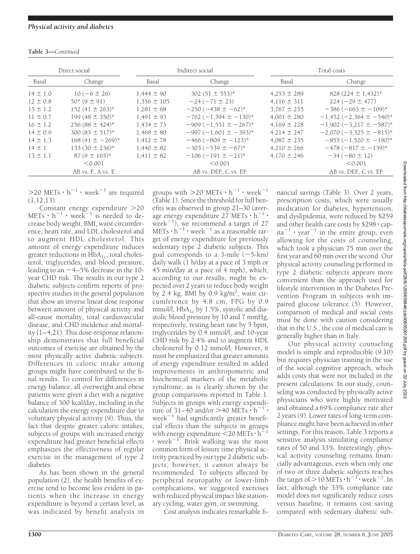| <b>Table 3—Continued</b> |
|--------------------------|
|                          |

|              | Direct social<br>Indirect social |                 | Total costs                 |                 |                             |
|--------------|----------------------------------|-----------------|-----------------------------|-----------------|-----------------------------|
| Basal        | Change                           | Basal<br>Change |                             | Basal           | Change                      |
| $14 \pm 1.0$ | $10(-6 \pm 26)$                  | $1.444 \pm 90$  | 302 $(51 \pm 553)^*$        | $4.253 \pm 289$ | $828(224 \pm 1,432)^*$      |
| $12 \pm 0.8$ | $50*(9 \pm 91)$                  | $1,356 \pm 105$ | $-24(-71 \pm 23)$           | $4,116 \pm 311$ | $224 (-29 \pm 477)$         |
| $15 \pm 1.2$ | $152(41 \pm 263)^*$              | $1.281 \pm 68$  | $-250(-438 \pm -62)^*$      | $3.767 \pm 235$ | $-386(-663 \pm -109)^*$     |
| $11 \pm 0.7$ | 199 $(48 \pm 350)^*$             | $1.491 \pm 93$  | $-762$ (-1,394 $\pm$ -130)* | $4.001 \pm 280$ | $-1,452(-2,364 \pm -540)^*$ |
| $16 \pm 1.2$ | $256(88 \pm 424)^*$              | $1.434 \pm 73$  | $-909(-1.551 \pm -267)^*$   | $4.169 \pm 228$ | $-1,902(-3,217 \pm -587)^*$ |
| $14 \pm 0.9$ | $300(83 \pm 517)^*$              | $1.468 \pm 80$  | $-997(-1,601 \pm -393)^*$   | $4.214 \pm 247$ | $-2,070(-3,325 \pm -815)^*$ |
| $14 \pm 1.3$ | $168(41 \pm -269)^*$             | $1.412 \pm 78$  | $-466(-809 \pm -123)^*$     | $4.087 \pm 235$ | $-855(-1.520 \pm -190)^*$   |
| $14 \pm 1$   | 133 (30 $\pm$ 236)*              | $1,440 \pm 82$  | $-303(-539 \pm -67)^*$      | $4,210 \pm 266$ | $-478(-817 \pm -139)^*$     |
| $13 \pm 1.1$ | $87(9 \pm 165)^*$                | $1,411 \pm 82$  | $-106(-191 \pm -21)^*$      | $4.170 \pm 246$ | $-34(-80 \pm 12)$           |
|              | < 0.001                          |                 | < 0.001                     |                 | < 0.001                     |
|              | AB vs. F, A vs. E                |                 | AB vs. DEF, C vs. EF        |                 | AB vs. DEF, C vs. EF        |

 $>$ 20 METs  $\cdot h^{-1}$   $\cdot$  week<sup>-1</sup> are required  $(1,12,13)$ .

Constant energy expenditure 20 METs  $\cdot$  h<sup>-1</sup>  $\cdot$  week<sup>-1</sup> is needed to decrease body weight, BMI, waist circumference, heart rate, and LDL cholesterol and to augment HDL cholesterol. This amount of energy expenditure induces greater reductions in  $HbA_{1c}$ , total cholesterol, triglycerides, and blood pressure, leading to an  $\sim$  4–5% decrease in the 10year CHD risk. The results in our type 2 diabetic subjects confirm reports of prospective studies in the general population that show an inverse linear dose response between amount of physical activity and all-cause mortality, total cardiovascular disease, and CHD incidence and mortality (1–4,21). This dose-response relationship demonstrates that full beneficial outcomes of exercise are obtained by the most physically active diabetic subjects. Differences in caloric intake among groups might have contributed to the final results. To control for differences in energy balance, all overweight and obese patients were given a diet with a negative balance of 300 kcal/day, including in the calculation the energy expenditure due to voluntary physical activity (9). Thus, the fact that despite greater caloric intakes, subjects of groups with increased energy expenditure had greater beneficial effects emphasizes the effectiveness of regular exercise in the management of type 2 diabetes.

As has been shown in the general population (2), the health benefits of exercise tend to become less evident in patients when the increase in energy expenditure is beyond a certain level, as was indicated by benefit analysis in

groups with  $>$ 20 METs  $\cdot$  h<sup>-1</sup>  $\cdot$  week<sup>-1</sup> (Table 1). Since the threshold for full benefits was observed in group 21–30 (average energy expenditure  $27$  METs  $\cdot h^{-1}$ . week $^{-1}$ ), we recommend a target of 27 METs  $\cdot h^{-1} \cdot$  week<sup>-1</sup> as a reasonable target of energy expenditure for previously sedentary type 2 diabetic subjects. This goal corresponds to a 3-mile  $(\sim 5 \text{-} \text{km})$ daily walk (1 h/day at a pace of 3 mph or 45 min/day at a pace of 4 mph), which, according to our results, might be expected over 2 years to reduce body weight by 2.4 kg, BMI by 0.9 kg/m2 , waist circumference by 4.8 cm, FPG by 0.9 mmol/l,  $HbA_{1c}$  by 1.5%, systolic and diastolic blood pressure by 10 and 7 mmHg, respectively, resting heart rate by 5 bpm, triglycerides by 0.4 mmol/l, and 10-year CHD risk by 2.4% and to augment HDL cholesterol by 0.12 mmol/l. However, it must be emphasized that greater amounts of energy expenditure resulted in added improvements in anthropometric and biochemical markers of the metabolic syndrome, as is clearly shown by the group comparisons reported in Table 1. Subjects in groups with energy expenditure of 31–40 and/or >40 METs  $\cdot h^{-1}$ . week $^{-1}$  had significantly greater beneficial effects than the subjects in groups with energy expenditure  $\leq 20$  METs  $\cdot h^{-1}$  $\cdot$  week $^{-1}$ . Brisk walking was the most common form of leisure time physical activity practiced by our type 2 diabetic subjects; however, it cannot always be recommended. To subjects affected by peripheral neuropathy or lower-limb complications, we suggested exercises with reduced physical impact like stationary cycling, water gym, or swimming.

Cost analysis indicates remarkable fi-

nancial savings (Table 3). Over 2 years, prescription costs, which were usually medication for diabetes, hypertension, and dyslipidemia, were reduced by \$259 and other health care costs by  $$298 \cdot$  cap $ita^{-1}$  · year<sup>-1</sup> in the entire group, even allowing for the costs of counseling, which took a physician 75 min over the first year and 60 min over the second. Our physical activity counseling performed in type 2 diabetic subjects appears more convenient than the approach used for lifestyle intervention in the Diabetes Prevention Program in subjects with impaired glucose tolerance (5). However, comparison of medical and social costs must be done with caution considering that in the U.S., the cost of medical care is generally higher than in Italy.

Our physical activity counseling model is simple and reproducible (9,10) but requires physician training in the use of the social cognitive approach, which adds costs that were not included in the present calculations. In our study, counseling was conducted by physically active physicians who were highly motivated and obtained a 69% compliance rate after 2 years (9). Lower rates of long-term compliance might have been achieved in other settings. For this reason, Table 3 reports a sensitive analysis simulating compliance rates of 50 and 33%. Interestingly, physical activity counseling remains financially advantageous, even when only one of two or three diabetic subjects reaches the target of  $>$  10 METs  $\cdot$  h<sup>-1</sup> $\cdot$  week<sup>-1</sup>. In fact, although the 33% compliance rate model does not significantly reduce costs versus baseline, it remains cost saving compared with sedentary diabetic sub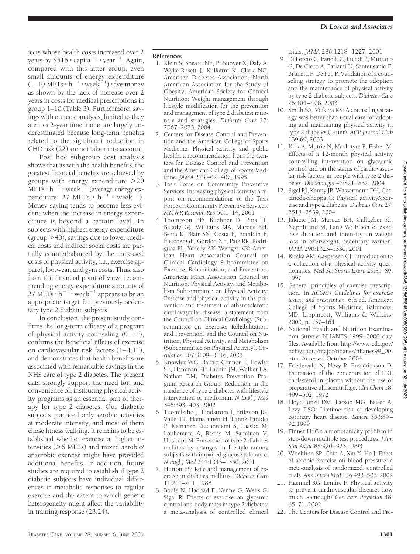jects whose health costs increased over 2 years by \$516  $\cdot$  capita $^{-1}$   $\cdot$  year $^{-1}$ . Again, compared with this latter group, even small amounts of energy expenditure  $(1-10 \text{ METs} \cdot \text{h}^{-1} \cdot \text{week}^{-1})$  save money as shown by the lack of increase over 2 years in costs for medical prescriptions in group 1–10 (Table 3). Furthermore, savings with our cost analysis, limited as they are to a 2-year time frame, are largely underestimated because long-term benefits related to the significant reduction in CHD risk (22) are not taken into account.

Post hoc subgroup cost analysis shows that as with the health benefits, the greatest financial benefits are achieved by groups with energy expenditure 20  $\text{METs} \cdot \text{h}^{-1} \cdot \text{week}^{\geq 1}$  (average energy expenditure: 27 METs  $\cdot h^{-1} \cdot \text{week}^{-1}$ ). Money saving tends to become less evident when the increase in energy expenditure is beyond a certain level. In subjects with highest energy expenditure (group  $>$  40), savings due to lower medical costs and indirect social costs are partially counterbalanced by the increased costs of physical activity, i.e., exercise apparel, footwear, and gym costs. Thus, also from the financial point of view, recommending energy expenditure amounts of 27 METs  $\cdot h^{-1} \cdot$  week<sup>-1</sup> appears to be an appropriate target for previously sedentary type 2 diabetic subjects.

In conclusion, the present study confirms the long-term efficacy of a program of physical activity counseling (9–11), confirms the beneficial effects of exercise on cardiovascular risk factors (1–4,11), and demonstrates that health benefits are associated with remarkable savings in the NHS care of type 2 diabetes. The present data strongly support the need for, and convenience of, instituting physical activity programs as an essential part of therapy for type 2 diabetes. Our diabetic subjects practiced only aerobic activities at moderate intensity, and most of them chose fitness walking. It remains to be established whether exercise at higher intensities  $(>6$  METs) and mixed aerobic/ anaerobic exercise might have provided additional benefits. In addition, future studies are required to establish if type 2 diabetic subjects have individual differences in metabolic responses to regular exercise and the extent to which genetic heterogeneity might affect the variability in training response (23,24).

## **References**

- 1. Klein S, Sheard NF, Pi-Sunyer X, Daly A, Wylie-Rosett J, Kulkarni K, Clark NG, American Diabetes Association, North American Association for the Study of Obesity, American Society for Clinical Nutrition: Weight management through lifestyle modification for the prevention and management of type 2 diabetes: rationale and strategies. *Diabetes Care* 27: 2067–2073, 2004
- 2. Centers for Disease Control and Prevention and the American College of Sports Medicine: Physical activity and public health: a recommendation from the Centers for Disease Control and Prevention and the American College of Sports Medicine. *JAMA* 273:402–407, 1995
- 3. Task Force on Community Preventive Services: Increasing physical activity: a report on recommendations of the Task Force on Community Preventive Services. *MMWR Recomm Rep* 50:1–14, 2001
- 4. Thompson PD, Buchner D, Pina IL, Balady GJ, Williams MA, Marcus BH, Berra K, Blair SN, Costa F, Franklin B, Fletcher GF, Gordon NF, Pate RR, Rodriguez BL, Yancey AK, Wenger NK: American Heart Association Council on Clinical Cardiology Subcommittee on Exercise, Rehabilitation, and Prevention, American Heart Association Council on Nutrition, Physical Activity, and Metabolism Subcommittee on Physical Activity: Exercise and physical activity in the prevention and treatment of atherosclerotic cardiovascular disease: a statement from the Council on Clinical Cardiology (Subcommittee on Exercise, Rehabilitation, and Prevention) and the Council on Nutrition, Physical Activity, and Metabolism (Subcommittee on Physical Activity). *Circulation* 107:3109–3116, 2003
- 5. Knowler WC, Barrett-Connor E, Fowler SE, Hamman RF, Lachin JM, Walker EA, Nathan DM, Diabetes Prevention Program Research Group: Reduction in the incidence of type 2 diabetes with lifestyle intervention or metformin. *N Engl J Med* 346:393–403, 2002
- 6. Tuomiletho J, Lindstrom J, Eriksson JG, Valle TT, Hamalainen H, Ilanne-Parikka P, Keinanen-Kiuaanniemi S, Laasko M, Louheranta A, Rastas M, Salminen V, Uusitupa M: Prevention of type 2 diabetes mellitus by changes in lifestyle among subjects with impaired glucose tolerance. *N Engl J Med* 344:1343–1350, 2001
- 7. Horton ES: Role and management of exercise in diabetes mellitus. *Diabetes Care* 11:201–211, 1988
- 8. Boulé N, Haddad E, Kenny G, Wells G, Sigal R: Effects of exercise on glycemic control and body mass in type 2 diabetes: a meta-analysis of controlled clinical

trials. *JAMA* 286:1218–1227, 2001

- 9. Di Loreto C, Fanelli C, Lucidi P, Murdolo G, De Cicco A, Parlanti N, Santeusanio F, Brunetti P, De Feo P: Validation of a counseling strategy to promote the adoption and the maintenance of physical activity by type 2 diabetic subjects. *Diabetes Care* 26:404–408, 2003
- 10. Smith SA, Vickers KS: A counseling strategy was better than usual care for adopting and maintaining physical activity in type 2 diabetes (Letter). *ACP Journal Club* 139:69, 2003
- 11. Kirk A, Mutrie N, MacIntyre P, Fisher M: Effects of a 12-month physical activity counselling intervention on glycaemic control and on the status of cardiovascular risk factors in people with type 2 diabetes. *Diabetologia* 47:821–832, 2004
- 12. Sigal RJ, Kenny JP, Wassermann DH, Castaneda-Sheppa G: Physical activity/exercise and type 2 diabetes. *Diabetes Care* 27: 2518–2539, 2004
- 13. Jakicic JM, Marcus BH, Gallagher KI, Napolitano M, Lang W: Effect of exercise duration and intensity on weight loss in overweight, sedentary women. *JAMA* 290:1323–1330, 2001
- 14. Kirska AM, Caspersen CJ: Introduction to a collection of a physical activity questionaries. *Med Sci Sports Exerc* 29:S5–S9, 1997
- 15. General principles of exercise prescription. In *ACSM's Guidelines for exercise testing and prescription.* 6th ed. American College of Sports Medicine, Baltimore, MD, Lippincott, Williams & Wilkins, 2000, p. 137–164
- 16. National Health and Nutrition Examination Survey: NHANES 1999–2000 data files. Available from http://www.cdc.gov/ nchs/about/major/nhanes/nhanes99\_00. htm. Accessed October 2004
- 17. Friedewald N, Nevy R, Frederickson D: Estimation of the concentration of LDL cholesterol in plasma without the use of preparative ultracentrifuge. *Clin Chem* 18: 499–502, 1972
- 18. Lloyd-Jones DM, Larson MG, Beiser A, Levy DSO: Lifetime risk of developing coronary heart disease. *Lancet* 353:89– 92,1999
- 19. Finner H: On a monotonicity problem in step-down multiple test procedures. *J Am Stat Assoc* 88:920–923, 1993
- 20. Whelthon SP, Chin A, Xin X, He J: Effect of aerobic exercise on blood pressure: a meta-analysis of randomized, controlled trials. *Ann Intern Med* 136:493–503, 2002
- 21. Haennel RG, Lemire F: Physical activity to prevent cardiovascular disease: how much is enough? *Can Fam Physician* 48: 65–71, 2002
- 22. The Centers for Disease Control and Pre-